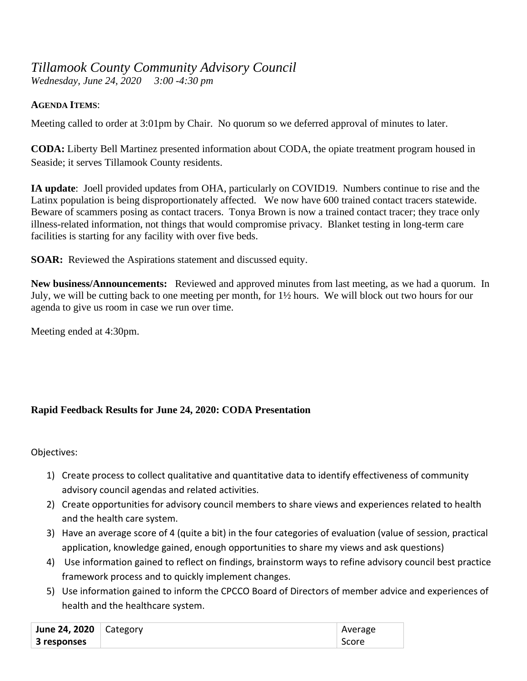## *Tillamook County Community Advisory Council*

*Wednesday, June 24, 2020 3:00 -4:30 pm*

## **AGENDA ITEMS**:

Meeting called to order at 3:01pm by Chair. No quorum so we deferred approval of minutes to later.

**CODA:** Liberty Bell Martinez presented information about CODA, the opiate treatment program housed in Seaside; it serves Tillamook County residents.

**IA update**: Joell provided updates from OHA, particularly on COVID19. Numbers continue to rise and the Latinx population is being disproportionately affected. We now have 600 trained contact tracers statewide. Beware of scammers posing as contact tracers. Tonya Brown is now a trained contact tracer; they trace only illness-related information, not things that would compromise privacy. Blanket testing in long-term care facilities is starting for any facility with over five beds.

**SOAR:** Reviewed the Aspirations statement and discussed equity.

**New business/Announcements:** Reviewed and approved minutes from last meeting, as we had a quorum. In July, we will be cutting back to one meeting per month, for 1½ hours. We will block out two hours for our agenda to give us room in case we run over time.

Meeting ended at 4:30pm.

## **Rapid Feedback Results for June 24, 2020: CODA Presentation**

Objectives:

- 1) Create process to collect qualitative and quantitative data to identify effectiveness of community advisory council agendas and related activities.
- 2) Create opportunities for advisory council members to share views and experiences related to health and the health care system.
- 3) Have an average score of 4 (quite a bit) in the four categories of evaluation (value of session, practical application, knowledge gained, enough opportunities to share my views and ask questions)
- 4) Use information gained to reflect on findings, brainstorm ways to refine advisory council best practice framework process and to quickly implement changes.
- 5) Use information gained to inform the CPCCO Board of Directors of member advice and experiences of health and the healthcare system.

| June 24, 2020 $\vert$ Category | Average |
|--------------------------------|---------|
| 3 responses                    | Score   |